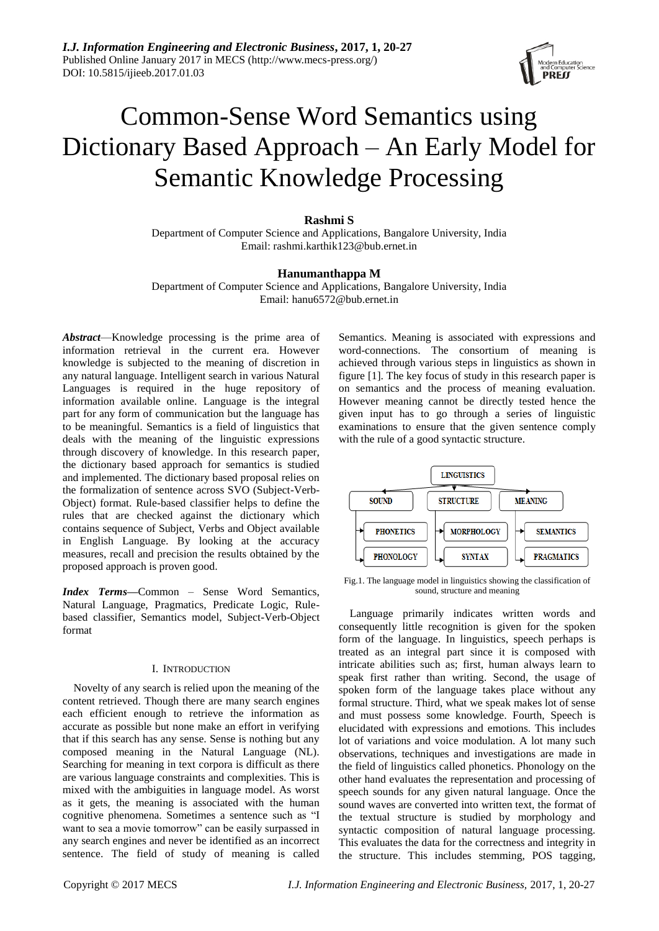

# Common-Sense Word Semantics using Dictionary Based Approach – An Early Model for Semantic Knowledge Processing

# **Rashmi S**

Department of Computer Science and Applications, Bangalore University, India Email: rashmi.karthik123@bub.ernet.in

# **Hanumanthappa M**

Department of Computer Science and Applications, Bangalore University, India Email: hanu6572@bub.ernet.in

*Abstract*—Knowledge processing is the prime area of information retrieval in the current era. However knowledge is subjected to the meaning of discretion in any natural language. Intelligent search in various Natural Languages is required in the huge repository of information available online. Language is the integral part for any form of communication but the language has to be meaningful. Semantics is a field of linguistics that deals with the meaning of the linguistic expressions through discovery of knowledge. In this research paper, the dictionary based approach for semantics is studied and implemented. The dictionary based proposal relies on the formalization of sentence across SVO (Subject-Verb-Object) format. Rule-based classifier helps to define the rules that are checked against the dictionary which contains sequence of Subject, Verbs and Object available in English Language. By looking at the accuracy measures, recall and precision the results obtained by the proposed approach is proven good.

*Index Terms***—**Common – Sense Word Semantics, Natural Language, Pragmatics, Predicate Logic, Rulebased classifier, Semantics model, Subject-Verb-Object format

#### I. INTRODUCTION

Novelty of any search is relied upon the meaning of the content retrieved. Though there are many search engines each efficient enough to retrieve the information as accurate as possible but none make an effort in verifying that if this search has any sense. Sense is nothing but any composed meaning in the Natural Language (NL). Searching for meaning in text corpora is difficult as there are various language constraints and complexities. This is mixed with the ambiguities in language model. As worst as it gets, the meaning is associated with the human cognitive phenomena. Sometimes a sentence such as "I want to sea a movie tomorrow" can be easily surpassed in any search engines and never be identified as an incorrect sentence. The field of study of meaning is called Semantics. Meaning is associated with expressions and word-connections. The consortium of meaning is achieved through various steps in linguistics as shown in figure [1]. The key focus of study in this research paper is on semantics and the process of meaning evaluation. However meaning cannot be directly tested hence the given input has to go through a series of linguistic examinations to ensure that the given sentence comply with the rule of a good syntactic structure.



Fig.1. The language model in linguistics showing the classification of sound, structure and meaning

Language primarily indicates written words and consequently little recognition is given for the spoken form of the language. In linguistics, speech perhaps is treated as an integral part since it is composed with intricate abilities such as; first, human always learn to speak first rather than writing. Second, the usage of spoken form of the language takes place without any formal structure. Third, what we speak makes lot of sense and must possess some knowledge. Fourth, Speech is elucidated with expressions and emotions. This includes lot of variations and voice modulation. A lot many such observations, techniques and investigations are made in the field of linguistics called phonetics. Phonology on the other hand evaluates the representation and processing of speech sounds for any given natural language. Once the sound waves are converted into written text, the format of the textual structure is studied by morphology and syntactic composition of natural language processing. This evaluates the data for the correctness and integrity in the structure. This includes stemming, POS tagging,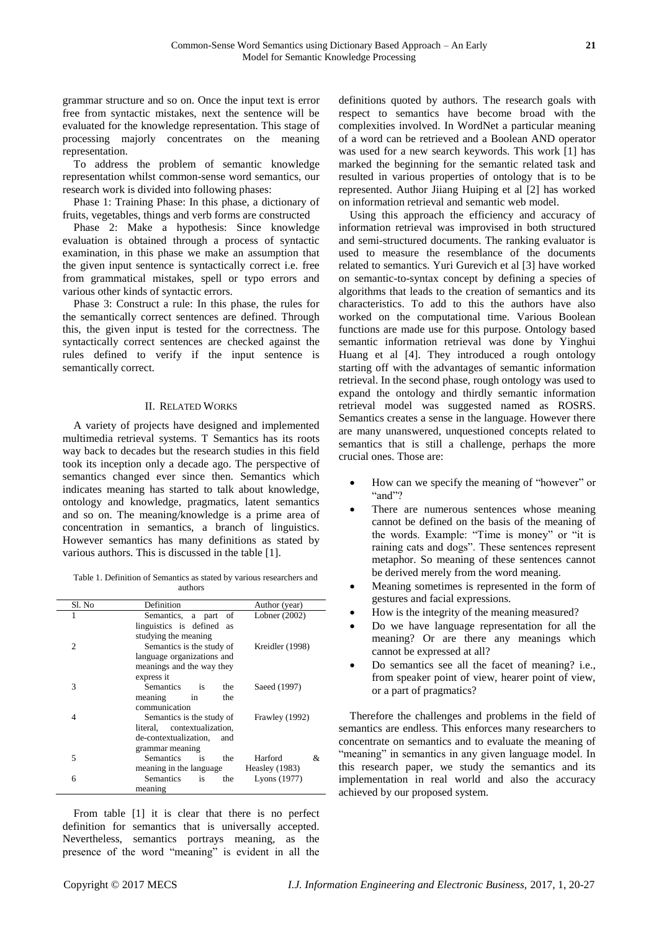grammar structure and so on. Once the input text is error free from syntactic mistakes, next the sentence will be evaluated for the knowledge representation. This stage of processing majorly concentrates on the meaning representation.

To address the problem of semantic knowledge representation whilst common-sense word semantics, our research work is divided into following phases:

Phase 1: Training Phase: In this phase, a dictionary of fruits, vegetables, things and verb forms are constructed

Phase 2: Make a hypothesis: Since knowledge evaluation is obtained through a process of syntactic examination, in this phase we make an assumption that the given input sentence is syntactically correct i.e. free from grammatical mistakes, spell or typo errors and various other kinds of syntactic errors.

Phase 3: Construct a rule: In this phase, the rules for the semantically correct sentences are defined. Through this, the given input is tested for the correctness. The syntactically correct sentences are checked against the rules defined to verify if the input sentence is semantically correct.

## II. RELATED WORKS

A variety of projects have designed and implemented multimedia retrieval systems. T Semantics has its roots way back to decades but the research studies in this field took its inception only a decade ago. The perspective of semantics changed ever since then. Semantics which indicates meaning has started to talk about knowledge, ontology and knowledge, pragmatics, latent semantics and so on. The meaning/knowledge is a prime area of concentration in semantics, a branch of linguistics. However semantics has many definitions as stated by various authors. This is discussed in the table [1].

Table 1. Definition of Semantics as stated by various researchers and authors

| Sl. No | Definition                   | Author (year)   |  |
|--------|------------------------------|-----------------|--|
| 1      | Semantics, a part of         | Lobner $(2002)$ |  |
|        | linguistics is defined as    |                 |  |
|        | studying the meaning         |                 |  |
| 2      | Semantics is the study of    | Kreidler (1998) |  |
|        | language organizations and   |                 |  |
|        | meanings and the way they    |                 |  |
|        |                              |                 |  |
|        | express it                   |                 |  |
| 3      | Semantics is<br>the          | Saeed (1997)    |  |
|        | the<br>meaning in            |                 |  |
|        | communication                |                 |  |
| 4      | Semantics is the study of    | Frawley (1992)  |  |
|        | literal. contextualization.  |                 |  |
|        | de-contextualization,<br>and |                 |  |
|        | grammar meaning              |                 |  |
| 5      | Semantics<br>is<br>the       | Harford<br>&    |  |
|        | meaning in the language      | Heasley (1983)  |  |
|        |                              |                 |  |
| 6      | is<br>Semantics<br>the       | Lyons (1977)    |  |
|        | meaning                      |                 |  |

From table [1] it is clear that there is no perfect definition for semantics that is universally accepted. Nevertheless, semantics portrays meaning, as the presence of the word "meaning" is evident in all the

definitions quoted by authors. The research goals with respect to semantics have become broad with the complexities involved. In WordNet a particular meaning of a word can be retrieved and a Boolean AND operator was used for a new search keywords. This work [1] has marked the beginning for the semantic related task and resulted in various properties of ontology that is to be represented. Author Jiiang Huiping et al [2] has worked on information retrieval and semantic web model.

Using this approach the efficiency and accuracy of information retrieval was improvised in both structured and semi-structured documents. The ranking evaluator is used to measure the resemblance of the documents related to semantics. Yuri Gurevich et al [3] have worked on semantic-to-syntax concept by defining a species of algorithms that leads to the creation of semantics and its characteristics. To add to this the authors have also worked on the computational time. Various Boolean functions are made use for this purpose. Ontology based semantic information retrieval was done by Yinghui Huang et al [4]. They introduced a rough ontology starting off with the advantages of semantic information retrieval. In the second phase, rough ontology was used to expand the ontology and thirdly semantic information retrieval model was suggested named as ROSRS. Semantics creates a sense in the language. However there are many unanswered, unquestioned concepts related to semantics that is still a challenge, perhaps the more crucial ones. Those are:

- How can we specify the meaning of "however" or "and"?
- There are numerous sentences whose meaning cannot be defined on the basis of the meaning of the words. Example: "Time is money" or "it is raining cats and dogs". These sentences represent metaphor. So meaning of these sentences cannot be derived merely from the word meaning.
- Meaning sometimes is represented in the form of gestures and facial expressions.
- How is the integrity of the meaning measured?
- Do we have language representation for all the meaning? Or are there any meanings which cannot be expressed at all?
- Do semantics see all the facet of meaning? i.e., from speaker point of view, hearer point of view, or a part of pragmatics?

Therefore the challenges and problems in the field of semantics are endless. This enforces many researchers to concentrate on semantics and to evaluate the meaning of "meaning" in semantics in any given language model. In this research paper, we study the semantics and its implementation in real world and also the accuracy achieved by our proposed system.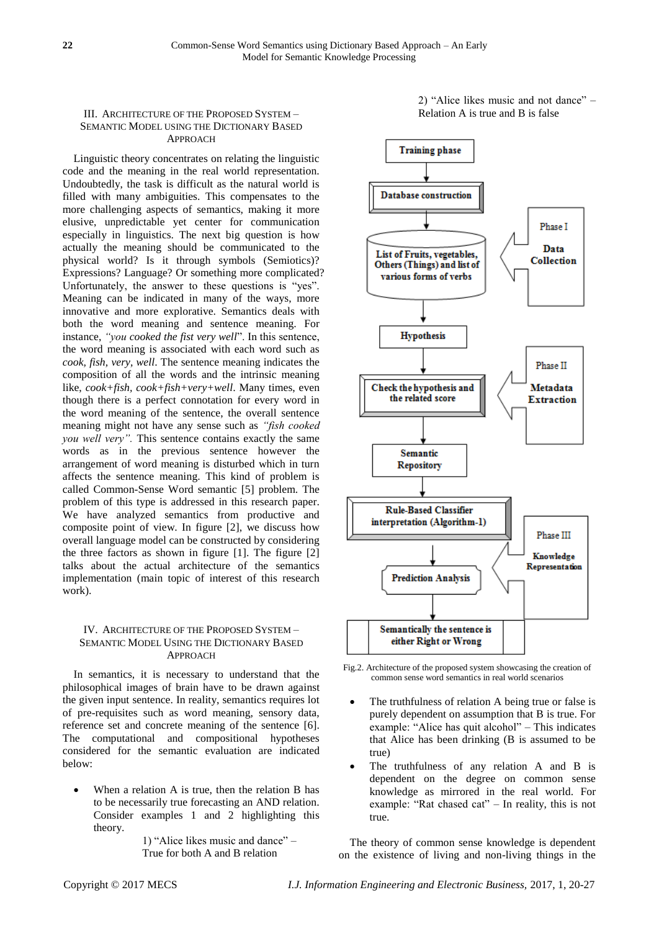# III. ARCHITECTURE OF THE PROPOSED SYSTEM – SEMANTIC MODEL USING THE DICTIONARY BASED APPROACH

Linguistic theory concentrates on relating the linguistic code and the meaning in the real world representation. Undoubtedly, the task is difficult as the natural world is filled with many ambiguities. This compensates to the more challenging aspects of semantics, making it more elusive, unpredictable yet center for communication especially in linguistics. The next big question is how actually the meaning should be communicated to the physical world? Is it through symbols (Semiotics)? Expressions? Language? Or something more complicated? Unfortunately, the answer to these questions is "yes". Meaning can be indicated in many of the ways, more innovative and more explorative. Semantics deals with both the word meaning and sentence meaning. For instance, *"you cooked the fist very well*". In this sentence, the word meaning is associated with each word such as *cook, fish, very, well*. The sentence meaning indicates the composition of all the words and the intrinsic meaning like, *cook+fish, cook+fish+very+well*. Many times, even though there is a perfect connotation for every word in the word meaning of the sentence, the overall sentence meaning might not have any sense such as *"fish cooked you well very".* This sentence contains exactly the same words as in the previous sentence however the arrangement of word meaning is disturbed which in turn affects the sentence meaning. This kind of problem is called Common-Sense Word semantic [5] problem. The problem of this type is addressed in this research paper. We have analyzed semantics from productive and composite point of view. In figure [2], we discuss how overall language model can be constructed by considering the three factors as shown in figure [1]. The figure [2] talks about the actual architecture of the semantics implementation (main topic of interest of this research work).

# IV. ARCHITECTURE OF THE PROPOSED SYSTEM – SEMANTIC MODEL USING THE DICTIONARY BASED APPROACH

In semantics, it is necessary to understand that the philosophical images of brain have to be drawn against the given input sentence. In reality, semantics requires lot of pre-requisites such as word meaning, sensory data, reference set and concrete meaning of the sentence [6]. The computational and compositional hypotheses considered for the semantic evaluation are indicated below:

- When a relation A is true, then the relation B has to be necessarily true forecasting an AND relation. Consider examples 1 and 2 highlighting this theory.
	- 1) "Alice likes music and dance" True for both A and B relation

2) "Alice likes music and not dance" – Relation A is true and B is false



Fig.2. Architecture of the proposed system showcasing the creation of common sense word semantics in real world scenarios

- The truthfulness of relation A being true or false is purely dependent on assumption that B is true. For example: "Alice has quit alcohol" – This indicates that Alice has been drinking (B is assumed to be true)
- The truthfulness of any relation A and B is dependent on the degree on common sense knowledge as mirrored in the real world. For example: "Rat chased cat" – In reality, this is not true.

The theory of common sense knowledge is dependent on the existence of living and non-living things in the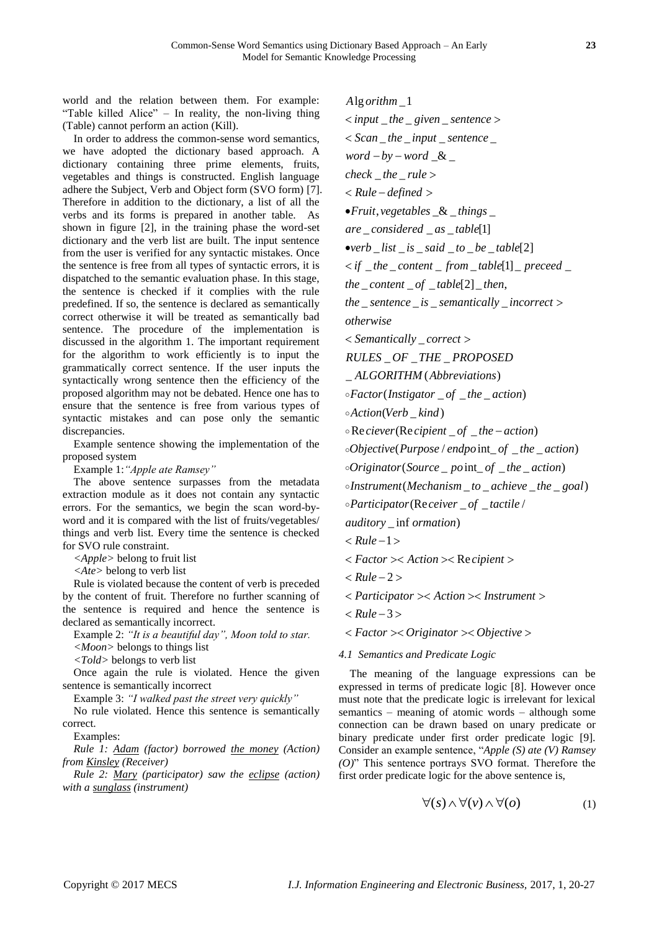world and the relation between them. For example: "Table killed Alice" – In reality, the non-living thing (Table) cannot perform an action (Kill).

In order to address the common-sense word semantics, we have adopted the dictionary based approach. A dictionary containing three prime elements, fruits, vegetables and things is constructed. English language adhere the Subject, Verb and Object form (SVO form) [7]. Therefore in addition to the dictionary, a list of all the verbs and its forms is prepared in another table. As shown in figure [2], in the training phase the word-set dictionary and the verb list are built. The input sentence from the user is verified for any syntactic mistakes. Once the sentence is free from all types of syntactic errors, it is dispatched to the semantic evaluation phase. In this stage, the sentence is checked if it complies with the rule predefined. If so, the sentence is declared as semantically correct otherwise it will be treated as semantically bad sentence. The procedure of the implementation is discussed in the algorithm 1. The important requirement for the algorithm to work efficiently is to input the grammatically correct sentence. If the user inputs the syntactically wrong sentence then the efficiency of the proposed algorithm may not be debated. Hence one has to ensure that the sentence is free from various types of syntactic mistakes and can pose only the semantic discrepancies.

Example sentence showing the implementation of the proposed system

Example 1:*"Apple ate Ramsey"*

The above sentence surpasses from the metadata extraction module as it does not contain any syntactic errors. For the semantics, we begin the scan word-byword and it is compared with the list of fruits/vegetables/ things and verb list. Every time the sentence is checked for SVO rule constraint.

*<Apple>* belong to fruit list

*<Ate>* belong to verb list

Rule is violated because the content of verb is preceded by the content of fruit. Therefore no further scanning of the sentence is required and hence the sentence is declared as semantically incorrect.

Example 2: *"It is a beautiful day", Moon told to star.*

*<Moon>* belongs to things list

*<Told>* belongs to verb list

Once again the rule is violated. Hence the given sentence is semantically incorrect

Example 3: *"I walked past the street very quickly"*

No rule violated. Hence this sentence is semantically correct.

Examples:

*Rule 1: Adam (factor) borrowed the money (Action) from Kinsley (Receiver)*

*Rule 2: Mary (participator) saw the eclipse (action) with a sunglass (instrument)*

lg \_1 *A orithm*

Alg orithm \_1<br>< input \_the \_ given \_ sentence >  $_$  the  $_$ given  $_$  sentence  $_$ <br>  $_$  the  $_$ input  $_$  sentence  $_$ *Scan the input sentence*

- 
- $u = s\epsilon$ <br> $-$ &  $$ *word by word*
- word by wora<br>check <sub>–</sub> the <sub>–</sub> rule check \_the \_ rule ><br>< Rule – defined >
- 
- -defined ><br>,vegetables \_& \_things \_ uit,vegetables\_&\_things<br>\_considered \_as \_table[1] *Fruit vegetables things • Fruit, vegetables \_& \_thing*<br>are \_ considered \_as \_table
- 
- are \_considered \_as \_table[1]<br>•verb \_list \_is \_said \_to \_be \_table[2]
- $\bullet$ *verb* \_ list \_ is \_ said \_ to \_ be \_ table[2]<br>  $\lt if$  \_ the \_ content \_ from \_ table[1] \_ preceed \_ *content from table preceed*
- $\sum_{i=1}^{n}$  the  $\sum_{i=1}^{n}$  content  $\sum_{i=1}^{n}$  from  $\sum_{i=1}^{n}$  table  $[2]$   $\sum_{i=1}^{n}$  then, the \_content  $_of$  \_table[2] \_then,  $\lt if$  \_the \_ content \_ from \_table the<sup>1</sup> content \_ of \_table [2] \_ then

the \_content \_of \_table[2] \_then,<br>the \_sentence \_is \_semantically \_incorrect > *otherwise otherwise*<br>< Semantically \_ correct >

utically \_corre<br>\_OF \_THE \_ RULES \_OF \_THE \_ PROPOSI<br>\_ALGORITHM (Abbreviations) *RULES OF THE PROPOSED ALGORITHM Abbreviations*

\_A<mark>LGORITHM</mark> (Abbreviation)<br>Factor (Instigator \_ of \_the ons)<br>\_action)  $Factor(Instigator \_ of \_ the \_action  
Action(Verb \_ kind)$ 

- Action(Verb \_kind)<br>Re ciever(Re cipient \_of \_the action)
- Reciever (Recipient \_of \_the action)<br>Objective (Purpose / endpo int\_of \_the \_action) *Objective*(*Purpose* / endpo int\_of \_the \_action)<br>*Originator*(*Source \_ po* int\_of \_the \_action)
- 
- $Originator(Source\_point\_of\_the\_action)$ <br>Instrument(Mechanism\_to\_achieve\_the\_goal) Instrument (Mechanism \_to \_ achieve<br>Participator (Re ceiver \_ of \_tactile / anism\_to\_achiev<br>eiver \_of \_tactile
- ator (Receiver<br>
<u></u>\_inf ormation) *auditory ormation*
- $auditory\_inf$  ormation)
- 1 *Rule*
- < Rule –1 ><br>< Factor >< Action >< Re cipient > < Factor >< Action<br>< Rule − 2 >
- 2 *Rule*
- < Rule 2 ><br>< Participator >< Action >< Instrument >  $\langle$  Participator  $>\angle$ <br> $\langle$  Rule – 3  $>$
- 3 *Rule*
- < Rule 3 ><br>< Factor >< Originator >< Objective >

## *4.1 Semantics and Predicate Logic*

The meaning of the language expressions can be expressed in terms of predicate logic [8]. However once must note that the predicate logic is irrelevant for lexical semantics – meaning of atomic words – although some connection can be drawn based on unary predicate or binary predicate under first order predicate logic [9]. Consider an example sentence, "*Apple (S) ate (V) Ramsey (O)*" This sentence portrays SVO format. Therefore the first order predicate logic for the above sentence is,

$$
\forall (s) \land \forall (v) \land \forall (o) \tag{1}
$$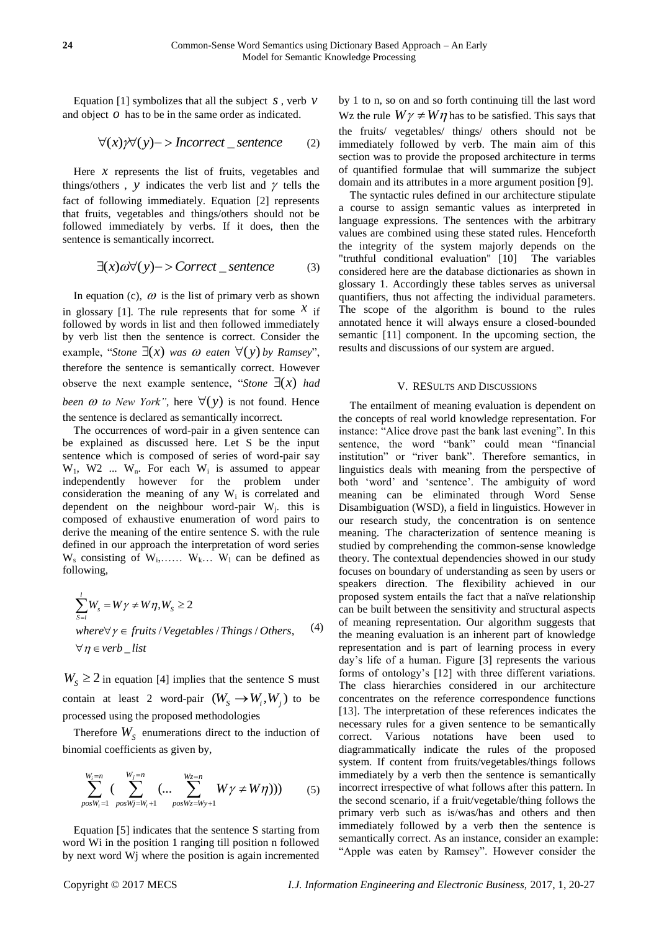Equation [1] symbolizes that all the subject  $S$ , verb  $V$ and object  $O$  has to be in the same order as indicated.

$$
\forall (x)\forall \forall (y) \rightarrow \text{Incorrect\_sentence} \tag{2}
$$

Here  $x$  represents the list of fruits, vegetables and things/others, y indicates the verb list and  $\gamma$  tells the fact of following immediately. Equation [2] represents that fruits, vegetables and things/others should not be followed immediately by verbs. If it does, then the sentence is semantically incorrect.

$$
\exists (x)\omega \forall (y) \rightarrow Correct\_sentence
$$
 (3)

In equation (c),  $\omega$  is the list of primary verb as shown in glossary [1]. The rule represents that for some  $\bar{x}$  if followed by words in list and then followed immediately by verb list then the sentence is correct. Consider the example, "*Stone*  $\exists$ (*x*) *was*  $\omega$  *eaten*  $\forall$ (*y*) *by Ramsey*", therefore the sentence is semantically correct. However observe the next example sentence, "*Stone*  $\exists$ (*x*) *had been*  $\omega$  *to New York"*, here  $\forall$  (y) is not found. Hence the sentence is declared as semantically incorrect.

The occurrences of word-pair in a given sentence can be explained as discussed here. Let S be the input sentence which is composed of series of word-pair say  $W_1$ , W2 ...  $W_n$ . For each  $W_i$  is assumed to appear independently however for the problem under consideration the meaning of any  $W_i$  is correlated and dependent on the neighbour word-pair  $W_j$ . this is composed of exhaustive enumeration of word pairs to derive the meaning of the entire sentence S. with the rule defined in our approach the interpretation of word series  $W_s$  consisting of  $W_1, \ldots, W_k, \ldots, W_l$  can be defined as following,

$$
\sum_{S=i}^{l} W_s = W\gamma \neq W\eta, W_S \geq 2
$$
\n
$$
\text{where } \forall \gamma \in \text{fruits} / \text{Vegetables} / \text{Things} / \text{ Others}, \qquad (4)
$$
\n
$$
\forall \eta \in \text{verb\_list}
$$

 $W_s \geq 2$  in equation [4] implies that the sentence S must contain at least 2 word-pair  $(W_s \to W_i, W_j)$  to be processed using the proposed methodologies

Therefore  $W<sub>S</sub>$  enumerations direct to the induction of binomial coefficients as given by,

$$
\sum_{\text{posW}_i=1}^{W_i=n} (\sum_{\text{posW}_i=W_i+1}^{W_j=n} (\dots \sum_{\text{posW}_z=W_i+1}^{W_z=n} W\gamma \neq W\eta)))
$$
 (5)

Equation [5] indicates that the sentence S starting from word Wi in the position 1 ranging till position n followed by next word Wj where the position is again incremented

by 1 to n, so on and so forth continuing till the last word Wz the rule  $W\gamma \neq W\eta$  has to be satisfied. This says that the fruits/ vegetables/ things/ others should not be immediately followed by verb. The main aim of this section was to provide the proposed architecture in terms of quantified formulae that will summarize the subject domain and its attributes in a more argument position [9].

The syntactic rules defined in our architecture stipulate a course to assign semantic values as interpreted in language expressions. The sentences with the arbitrary values are combined using these stated rules. Henceforth the integrity of the system majorly depends on the "truthful conditional evaluation" [10] The variables considered here are the database dictionaries as shown in glossary 1. Accordingly these tables serves as universal quantifiers, thus not affecting the individual parameters. The scope of the algorithm is bound to the rules annotated hence it will always ensure a closed-bounded semantic [11] component. In the upcoming section, the results and discussions of our system are argued.

#### V. RESULTS AND DISCUSSIONS

The entailment of meaning evaluation is dependent on the concepts of real world knowledge representation. For instance: "Alice drove past the bank last evening". In this sentence, the word "bank" could mean "financial institution" or "river bank". Therefore semantics, in linguistics deals with meaning from the perspective of both 'word' and 'sentence'. The ambiguity of word meaning can be eliminated through Word Sense Disambiguation (WSD), a field in linguistics. However in our research study, the concentration is on sentence meaning. The characterization of sentence meaning is studied by comprehending the common-sense knowledge theory. The contextual dependencies showed in our study focuses on boundary of understanding as seen by users or speakers direction. The flexibility achieved in our proposed system entails the fact that a naïve relationship can be built between the sensitivity and structural aspects of meaning representation. Our algorithm suggests that the meaning evaluation is an inherent part of knowledge representation and is part of learning process in every day's life of a human. Figure [3] represents the various forms of ontology's [12] with three different variations. The class hierarchies considered in our architecture concentrates on the reference correspondence functions [13]. The interpretation of these references indicates the necessary rules for a given sentence to be semantically correct. Various notations have been used to diagrammatically indicate the rules of the proposed system. If content from fruits/vegetables/things follows immediately by a verb then the sentence is semantically incorrect irrespective of what follows after this pattern. In the second scenario, if a fruit/vegetable/thing follows the primary verb such as is/was/has and others and then immediately followed by a verb then the sentence is semantically correct. As an instance, consider an example: "Apple was eaten by Ramsey". However consider the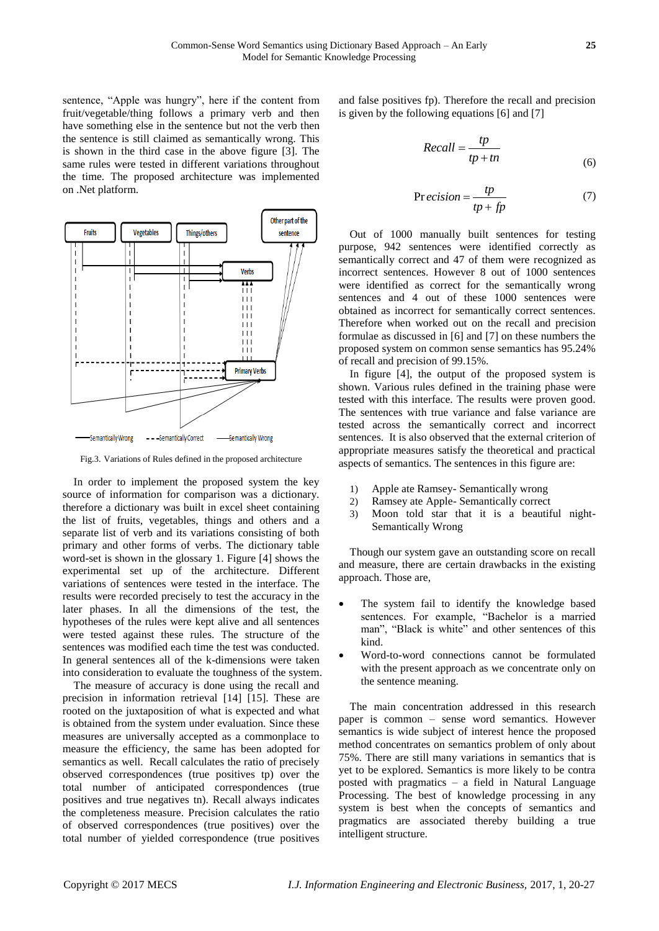sentence, "Apple was hungry", here if the content from fruit/vegetable/thing follows a primary verb and then have something else in the sentence but not the verb then the sentence is still claimed as semantically wrong. This is shown in the third case in the above figure [3]. The same rules were tested in different variations throughout the time. The proposed architecture was implemented on .Net platform.



Fig.3. Variations of Rules defined in the proposed architecture

In order to implement the proposed system the key source of information for comparison was a dictionary. therefore a dictionary was built in excel sheet containing the list of fruits, vegetables, things and others and a separate list of verb and its variations consisting of both primary and other forms of verbs. The dictionary table word-set is shown in the glossary 1. Figure [4] shows the experimental set up of the architecture. Different variations of sentences were tested in the interface. The results were recorded precisely to test the accuracy in the later phases. In all the dimensions of the test, the hypotheses of the rules were kept alive and all sentences were tested against these rules. The structure of the sentences was modified each time the test was conducted. In general sentences all of the k-dimensions were taken into consideration to evaluate the toughness of the system.

The measure of accuracy is done using the recall and precision in information retrieval [14] [15]. These are rooted on the juxtaposition of what is expected and what is obtained from the system under evaluation. Since these measures are universally accepted as a commonplace to measure the efficiency, the same has been adopted for semantics as well. Recall calculates the ratio of precisely observed correspondences (true positives tp) over the total number of anticipated correspondences (true positives and true negatives tn). Recall always indicates the completeness measure. Precision calculates the ratio of observed correspondences (true positives) over the total number of yielded correspondence (true positives

and false positives fp). Therefore the recall and precision is given by the following equations [6] and [7]

$$
Recall = \frac{tp}{tp + tn}
$$
\n(6)

$$
Pr\,ecision = \frac{tp}{tp + fp} \tag{7}
$$

Out of 1000 manually built sentences for testing purpose, 942 sentences were identified correctly as semantically correct and 47 of them were recognized as incorrect sentences. However 8 out of 1000 sentences were identified as correct for the semantically wrong sentences and 4 out of these 1000 sentences were obtained as incorrect for semantically correct sentences. Therefore when worked out on the recall and precision formulae as discussed in [6] and [7] on these numbers the proposed system on common sense semantics has 95.24% of recall and precision of 99.15%.

In figure [4], the output of the proposed system is shown. Various rules defined in the training phase were tested with this interface. The results were proven good. The sentences with true variance and false variance are tested across the semantically correct and incorrect sentences. It is also observed that the external criterion of appropriate measures satisfy the theoretical and practical aspects of semantics. The sentences in this figure are:

- 1) Apple ate Ramsey- Semantically wrong
- 2) Ramsey ate Apple- Semantically correct
- 3) Moon told star that it is a beautiful night-Semantically Wrong

Though our system gave an outstanding score on recall and measure, there are certain drawbacks in the existing approach. Those are,

- The system fail to identify the knowledge based sentences. For example, "Bachelor is a married man", "Black is white" and other sentences of this kind.
- Word-to-word connections cannot be formulated with the present approach as we concentrate only on the sentence meaning.

The main concentration addressed in this research paper is common – sense word semantics. However semantics is wide subject of interest hence the proposed method concentrates on semantics problem of only about 75%. There are still many variations in semantics that is yet to be explored. Semantics is more likely to be contra posted with pragmatics – a field in Natural Language Processing. The best of knowledge processing in any system is best when the concepts of semantics and pragmatics are associated thereby building a true intelligent structure.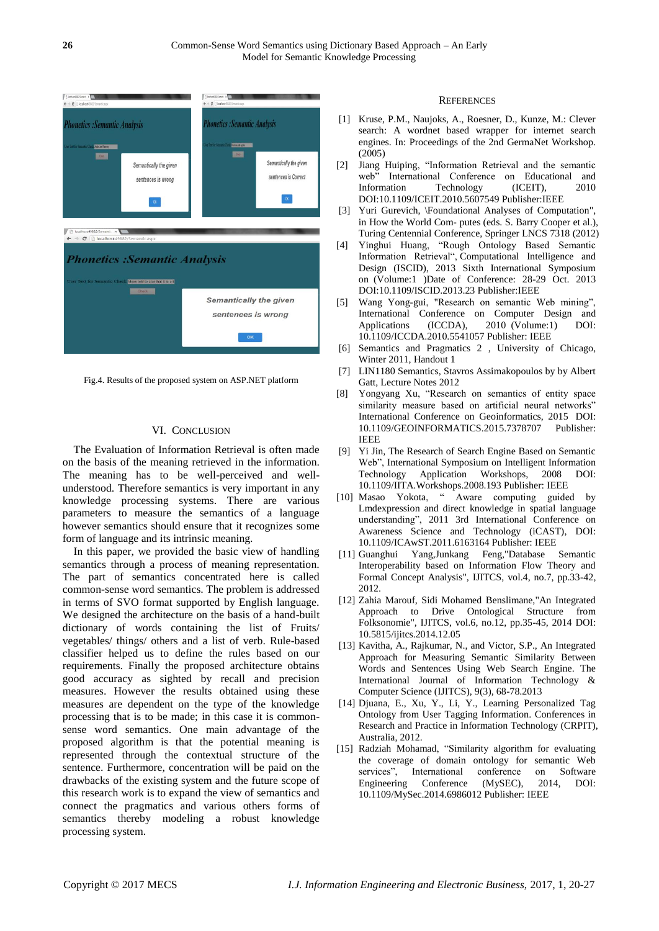

Fig.4. Results of the proposed system on ASP.NET platform

## VI. CONCLUSION

The Evaluation of Information Retrieval is often made on the basis of the meaning retrieved in the information. The meaning has to be well-perceived and wellunderstood. Therefore semantics is very important in any knowledge processing systems. There are various parameters to measure the semantics of a language however semantics should ensure that it recognizes some form of language and its intrinsic meaning.

In this paper, we provided the basic view of handling semantics through a process of meaning representation. The part of semantics concentrated here is called common-sense word semantics. The problem is addressed in terms of SVO format supported by English language. We designed the architecture on the basis of a hand-built dictionary of words containing the list of Fruits/ vegetables/ things/ others and a list of verb. Rule-based classifier helped us to define the rules based on our requirements. Finally the proposed architecture obtains good accuracy as sighted by recall and precision measures. However the results obtained using these measures are dependent on the type of the knowledge processing that is to be made; in this case it is commonsense word semantics. One main advantage of the proposed algorithm is that the potential meaning is represented through the contextual structure of the sentence. Furthermore, concentration will be paid on the drawbacks of the existing system and the future scope of this research work is to expand the view of semantics and connect the pragmatics and various others forms of semantics thereby modeling a robust knowledge processing system.

#### **REFERENCES**

- [1] Kruse, P.M., Naujoks, A., Roesner, D., Kunze, M.: Clever search: A wordnet based wrapper for internet search engines. In: Proceedings of the 2nd GermaNet Workshop.  $(2005)$
- [2] [Jiang Huiping,](http://ieeexplore.ieee.org/search/searchresult.jsp?searchWithin=%22Authors%22:.QT.Jiang%20Huiping.QT.&newsearch=true) "Information Retrieval and the semantic web" International Conference on [Educational and](http://ieeexplore.ieee.org/xpl/mostRecentIssue.jsp?punumber=5598556)  [Information Technology \(ICEIT\), 2010](http://ieeexplore.ieee.org/xpl/mostRecentIssue.jsp?punumber=5598556)  DO[I:10.1109/ICEIT.2010.5607549](http://dx.doi.org/10.1109/ICEIT.2010.5607549) Publisher:IEEE
- [3] Yuri Gurevich, \Foundational Analyses of Computation", in How the World Com- putes (eds. S. Barry Cooper et al.), Turing Centennial Conference, Springer LNCS 7318 (2012)
- [4] [Yinghui Huang,](http://ieeexplore.ieee.org/search/searchresult.jsp?searchWithin=%22Authors%22:.QT.Yinghui%20Huang.QT.&newsearch=true) "Rough Ontology Based Semantic Information Retrieval", [Computational Intelligence and](http://ieeexplore.ieee.org/xpl/mostRecentIssue.jsp?punumber=6804196)  [Design \(ISCID\), 2013 Sixth International Symposium](http://ieeexplore.ieee.org/xpl/mostRecentIssue.jsp?punumber=6804196)  [on](http://ieeexplore.ieee.org/xpl/mostRecentIssue.jsp?punumber=6804196) (Volume:1 )Date of Conference: 28-29 Oct. 2013 DO[I:10.1109/ISCID.2013.23](http://dx.doi.org/10.1109/ISCID.2013.23) Publisher:IEEE
- [5] [Wang Yong-gui,](http://ieeexplore.ieee.org/search/searchresult.jsp?searchWithin=%22Authors%22:.QT.Wang%20Yong-gui.QT.&newsearch=true) "Research on semantic Web mining", International Conference on [Computer Design and](http://ieeexplore.ieee.org/xpl/mostRecentIssue.jsp?punumber=5520349)  [Applications \(ICCDA\), 2010](http://ieeexplore.ieee.org/xpl/mostRecentIssue.jsp?punumber=5520349) (Volume:1) DOI: [10.1109/ICCDA.2010.5541057](http://dx.doi.org/10.1109/ICCDA.2010.5541057) Publisher: IEEE
- [6] Semantics and Pragmatics 2 , University of Chicago, Winter 2011, Handout 1
- [7] LIN1180 Semantics, Stavros Assimakopoulos by by Albert Gatt, Lecture Notes 2012
- [8] [Yongyang Xu,](http://ieeexplore.ieee.org/search/searchresult.jsp?searchWithin=%22Authors%22:.QT.Yongyang%20Xu.QT.&newsearch=true) "Research on semantics of entity space similarity measure based on artificial neural networks" International Conference on [Geoinformatics, 2015](http://ieeexplore.ieee.org/xpl/mostRecentIssue.jsp?punumber=7321937) DOI: [10.1109/GEOINFORMATICS.2015.7378707](http://dx.doi.org/10.1109/GEOINFORMATICS.2015.7378707) Publisher: IEEE
- [9] Yi Jin, The Research of Search Engine Based on Semantic Web", [International Symposium on](http://ieeexplore.ieee.org/xpl/mostRecentIssue.jsp?punumber=4731857) [Intelligent Information](http://ieeexplore.ieee.org/xpl/mostRecentIssue.jsp?punumber=4731857)  [Technology Application Workshops, 2008](http://ieeexplore.ieee.org/xpl/mostRecentIssue.jsp?punumber=4731857) DOI: [10.1109/IITA.Workshops.2008.193](http://dx.doi.org/10.1109/IITA.Workshops.2008.193) Publisher: IEEE
- [10] [Masao Yokota,](http://ieeexplore.ieee.org/search/searchresult.jsp?searchWithin=%22Authors%22:.QT.Masao%20Yokota.QT.&newsearch=true) " Aware computing guided by Lmdexpression and direct knowledge in spatial language understanding", [2011 3rd International Conference on](http://ieeexplore.ieee.org/xpl/mostRecentIssue.jsp?punumber=6156580)  [Awareness Science and Technology \(iCAST\),](http://ieeexplore.ieee.org/xpl/mostRecentIssue.jsp?punumber=6156580) DOI: [10.1109/ICAwST.2011.6163164](http://dx.doi.org/10.1109/ICAwST.2011.6163164) Publisher: IEEE
- [11] Guanghui Yang,Junkang Feng,"Database Semantic Interoperability based on Information Flow Theory and Formal Concept Analysis", IJITCS, vol.4, no.7, pp.33-42, 2012.
- [12] Zahia Marouf, Sidi Mohamed Benslimane,"An Integrated Approach to Drive Ontological Structure from Folksonomie", IJITCS, vol.6, no.12, pp.35-45, 2014 DOI: 10.5815/ijitcs.2014.12.05
- [13] Kavitha, A., Rajkumar, N., and Victor, S.P., An Integrated Approach for Measuring Semantic Similarity Between Words and Sentences Using Web Search Engine. The International Journal of Information Technology & Computer Science (IJITCS), 9(3), 68-78.2013
- [14] Djuana, E., Xu, Y., Li, Y., Learning Personalized Tag Ontology from User Tagging Information. Conferences in Research and Practice in Information Technology (CRPIT), Australia, 2012.
- [15] [Radziah Mohamad,](http://ieeexplore.ieee.org/search/searchresult.jsp?searchWithin=%22Authors%22:.QT.Radziah%20Mohamad.QT.&newsearch=true) "Similarity algorithm for evaluating the coverage of domain ontology for semantic Web services", International conference on Software Engineering Conference (MySEC), 2014, DOI: [10.1109/MySec.2014.6986012](http://dx.doi.org/10.1109/MySec.2014.6986012) Publisher: IEEE